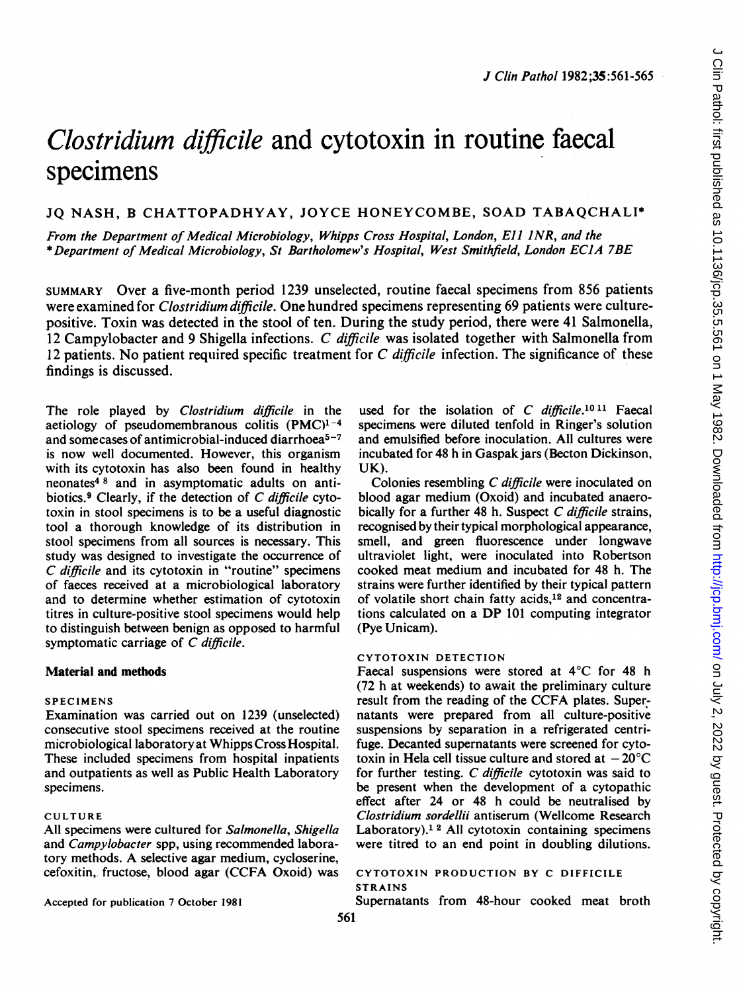# Clostridium difficile and cytotoxin in routine faecal specimens

## JQ NASH, B CHATTOPADHYAY, JOYCE HONEYCOMBE, SOAD TABAQCHALI\*

From the Department of Medical Microbiology, Whipps Cross Hospital, London, Eli INR, and the \*Department of Medical Microbiology, St Bartholomew's Hospital, West Smithfield, London ECIA 7BE

SUMMARY Over a five-month period 1239 unselected, routine faecal specimens from 856 patients were examined for *Clostridium difficile*. One hundred specimens representing 69 patients were culturepositive. Toxin was detected in the stool of ten. During the study period, there were 41 Salmonella, <sup>12</sup> Campylobacter and <sup>9</sup> Shigella infections. C dificile was isolated together with Salmonella from 12 patients. No patient required specific treatment for  $C$  difficile infection. The significance of these findings is discussed.

The role played by Clostridium difficile in the aetiology of pseudomembranous colitis  $(PMC)^{1-4}$ and somecases of antimicrobial-induced diarrhoea<sup>5-7</sup> is now well documented. However, this organism with its cytotoxin has also been found in healthy neonates4 <sup>8</sup> and in asymptomatic adults on antibiotics.9 Clearly, if the detection of C difficile cytotoxin in stool specimens is to be a useful diagnostic tool a thorough knowledge of its distribution in stool specimens from all sources is necessary. This study was designed to investigate the occurrence of C difficile and its cytotoxin in "routine" specimens of faeces received at a microbiological laboratory and to determine whether estimation of cytotoxin titres in culture-positive stool specimens would help to distinguish between benign as opposed to harmful symptomatic carriage of C difficile.

## Material and methods

## SPECIMENS

Examination was carried out on 1239 (unselected) consecutive stool specimens received at the routine microbiological laboratory at Whipps Cross Hospital. These included specimens from hospital inpatients and outpatients as well as Public Health Laboratory specimens.

#### CULTURE

All specimens were cultured for Salmonella, Shigella and Campylobacter spp, using recommended laboratory methods. A selective agar medium, cycloserine, cefoxitin, fructose, blood agar (CCFA Oxoid) was

Accepted for publication 7 October 1981

used for the isolation of C difficile.<sup>10 11</sup> Faecal specimens were diluted tenfold in Ringer's solution and emulsified before inoculation. All cultures were incubated for 48 h in Gaspak jars (Becton Dickinson, UK).

Colonies resembling C difficile were inoculated on blood agar medium (Oxoid) and incubated anaerobically for a further 48 h. Suspect C difficile strains, recognised by their typical morphological appearance, smell, and green fluorescence under longwave ultraviolet light, were inoculated into Robertson cooked meat medium and incubated for 48 h. The strains were further identified by their typical pattern of volatile short chain fatty acids,<sup>12</sup> and concentrations calculated on <sup>a</sup> DP <sup>101</sup> computing integrator (Pye Unicam).

## CYTOTOXIN DETECTION

Faecal suspensions were stored at 4°C for 48 h (72 h at weekends) to await the preliminary culture result from the reading of the CCFA plates. Supernatants were prepared from all culture-positive suspensions by separation in a refrigerated centrifuge. Decanted supernatants were screened for cytotoxin in Hela cell tissue culture and stored at  $-20^{\circ}$ C for further testing. C difficile cytotoxin was said to be present when the development of a cytopathic effect after 24 or 48 h could be neutralised by Clostridium sordellii antiserum (Wellcome Research Laboratory).<sup>12</sup> All cytotoxin containing specimens were titred to an end point in doubling dilutions.

#### CYTOTOXIN PRODUCTION BY C DIFFICILE STRAINS

Supernatants from 48-hour cooked meat broth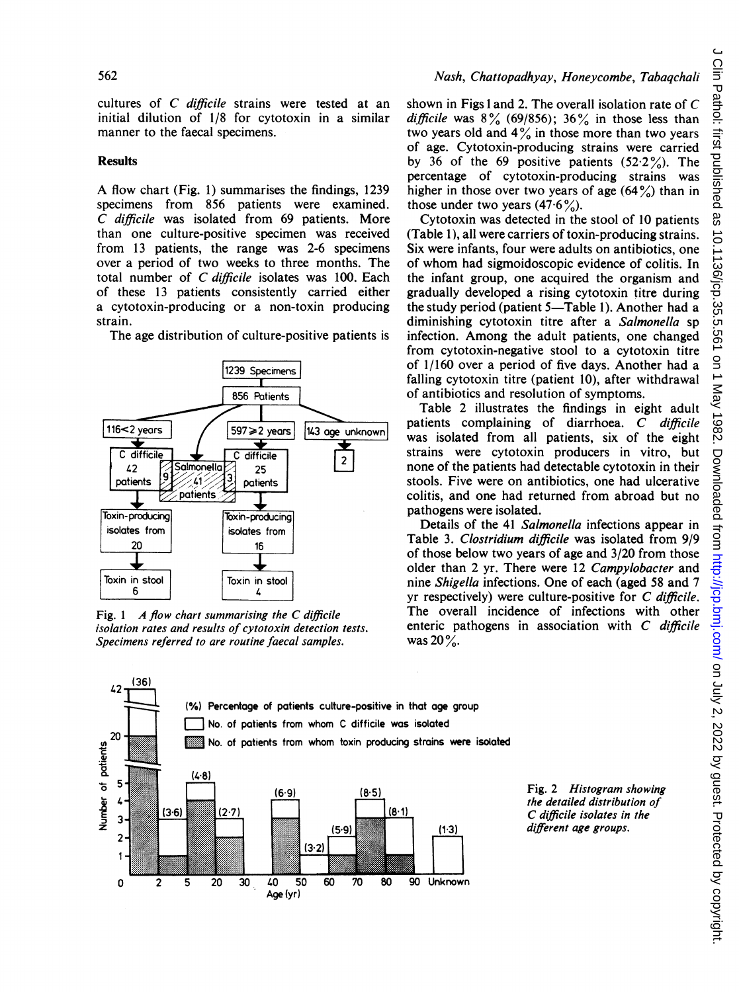cultures of C difficile strains were tested at an initial dilution of 1/8 for cytotoxin in a similar manner to the faecal specimens.

## Results

A flow chart (Fig. 1) summarises the findings, <sup>1239</sup> specimens from 856 patients were examined. C difficile was isolated from <sup>69</sup> patients. More than one culture-positive specimen was received from 13 patients, the range was 2-6 specimens over a period of two weeks to three months. The total number of C difficile isolates was 100. Each of these 13 patients consistently carried either a cytotoxin-producing or a non-toxin producing strain.

The age distribution of culture-positive patients is



Fig. 1  $\land$  flow chart summarising the C difficile isolation rates and results of cytotoxin detection tests. Specimens referred to are routine faecal samples.

shown in Figs <sup>1</sup> and 2. The overall isolation rate of C difficile was  $8\%$  (69/856);  $36\%$  in those less than two years old and  $4\%$  in those more than two years of age. Cytotoxin-producing strains were carried by 36 of the 69 positive patients  $(52.2\%)$ . The percentage of cytotoxin-producing strains was higher in those over two years of age  $(64\%)$  than in those under two years  $(47.6\%)$ .

Cytotoxin was detected in the stool of 10 patients (Table 1), all were carriers of toxin-producing strains. Six were infants, four were adults on antibiotics, one of whom had sigmoidoscopic evidence of colitis. In the infant group, one acquired the organism and gradually developed a rising cytotoxin titre during the study period (patient 5-Table 1). Another had a diminishing cytotoxin titre after a Salmonella sp infection. Among the adult patients, one changed from cytotoxin-negative stool to a cytotoxin titre of 1/160 over a period of five days. Another had a falling cytotoxin titre (patient 10), after withdrawal of antibiotics and resolution of symptoms.

Table 2 illustrates the findings in eight adult patients complaining of diarrhoea. C difficile was isolated from all patients, six of the eight strains were cytotoxin producers in vitro, but none of the patients had detectable cytotoxin in their stools. Five were on antibiotics, one had ulcerative colitis, and one had returned from abroad but no pathogens were isolated.

Details of the 41 Salmonella infections appear in Table 3. Clostridium difficile was isolated from 9/9 of those below two years of age and 3/20 from those older than 2 yr. There were 12 Campylobacter and nine Shigella infections. One of each (aged 58 and 7 yr respectively) were culture-positive for C difficile. The overall incidence of infections with other enteric pathogens in association with C difficile was  $20\%$ .



Fig. 2 Histogram showing the detailed distribution of C difficile isolates in the different age groups.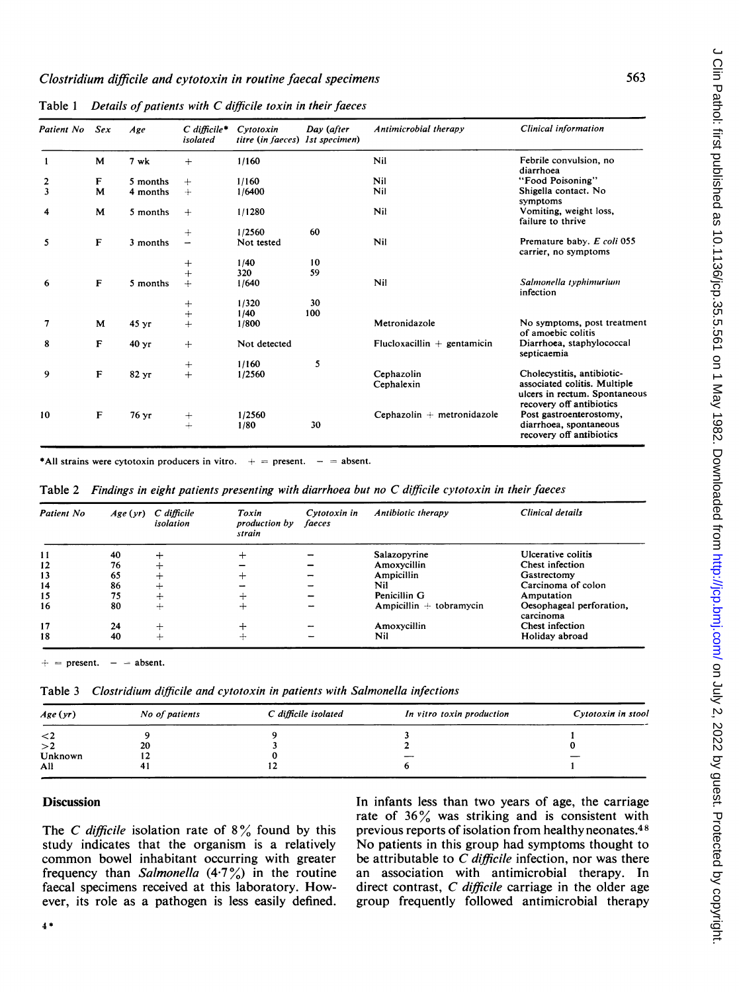| Patient No | Sex          | Age              | $C$ difficile*<br>isolated | Cvtotoxin<br>titre (in faeces) | Day (after<br><i>lst specimen</i> ) | Antimicrobial therapy         | Clinical information                                                                                                    |
|------------|--------------|------------------|----------------------------|--------------------------------|-------------------------------------|-------------------------------|-------------------------------------------------------------------------------------------------------------------------|
| 1          | M            | 7 wk             | $+$                        | 1/160                          |                                     | Nil                           | Febrile convulsion, no<br>diarrhoea                                                                                     |
| 2          | F            | 5 months         | $+$                        | 1/160                          |                                     | Nil                           | "Food Poisoning"                                                                                                        |
| 3          | M            | 4 months         | $+$                        | 1/6400                         |                                     | Nil                           | Shigella contact. No<br>symptoms                                                                                        |
| 4          | M            | 5 months         | $+$                        | 1/1280                         |                                     | Nil                           | Vomiting, weight loss,<br>failure to thrive                                                                             |
|            |              |                  | $+$                        | 1/2560                         | 60                                  |                               |                                                                                                                         |
| 5          | F            | 3 months         | $\overline{\phantom{0}}$   | Not tested                     |                                     | Nil                           | Premature baby. E coli 055<br>carrier, no symptoms                                                                      |
|            |              |                  | $\mathrm{+}$               | 1/40                           | 10                                  |                               |                                                                                                                         |
|            |              |                  | $+$                        | 320                            | 59                                  |                               |                                                                                                                         |
| 6          | $\mathbf{F}$ | 5 months         | $+$                        | 1/640                          |                                     | Nil                           | Salmonella typhimurium<br>infection                                                                                     |
|            |              |                  | $\pm$                      | 1/320                          | 30                                  |                               |                                                                                                                         |
|            |              |                  | $+$                        | 1/40                           | 100                                 |                               |                                                                                                                         |
| 7          | M            | 45 <sub>yr</sub> | $+$                        | 1/800                          |                                     | Metronidazole                 | No symptoms, post treatment<br>of amoebic colitis                                                                       |
| 8          | F            | 40 <sub>yr</sub> | $+$                        | Not detected                   |                                     | Flucloxacillin $+$ gentamicin | Diarrhoea, staphylococcal<br>septicaemia                                                                                |
|            |              |                  | $^{+}$                     | 1/160                          | 5                                   |                               |                                                                                                                         |
| 9          | F            | 82 yr            | $+$                        | 1/2560                         |                                     | Cephazolin<br>Cephalexin      | Cholecystitis, antibiotic-<br>associated colitis. Multiple<br>ulcers in rectum. Spontaneous<br>recovery off antibiotics |
| 10         | $\mathbf{F}$ | 76 yr            | $+$<br>$+$                 | 1/2560<br>1/80                 | 30                                  | Cephazolin + metronidazole    | Post gastroenterostomy,<br>diarrhoea, spontaneous<br>recovery off antibiotics                                           |

Table  $1$  Details of patients with C difficile toxin in their faeces

\*All strains were cytotoxin producers in vitro.  $+$  = present. - = absent.

Table 2 Findings in eight patients presenting with diarrhoea but no C difficile cytotoxin in their faeces

| Patient No | Age(yr) | C difficile<br>isolation | Toxin<br>production by<br>strain | Cytotoxin in<br>faeces | Antibiotic therapy        | Clinical details                      |
|------------|---------|--------------------------|----------------------------------|------------------------|---------------------------|---------------------------------------|
| -11        | 40      |                          |                                  |                        | Salazopyrine              | Ulcerative colitis                    |
| 12         | 76      |                          |                                  |                        | Amoxycillin               | Chest infection                       |
| 13         | 65      |                          |                                  |                        | Ampicillin                | Gastrectomy                           |
| 14         | 86      |                          |                                  |                        | Nil                       | Carcinoma of colon                    |
| 15         | 75      |                          |                                  |                        | Penicillin G              | Amputation                            |
| 16         | 80      | -                        | ┿                                |                        | Ampicillin $+$ tobramycin | Oesophageal perforation,<br>carcinoma |
| 17         | 24      | ÷                        |                                  |                        | Amoxycillin               | Chest infection                       |
| 18         | 40      | ÷                        |                                  |                        | Nil                       | Holiday abroad                        |

 $=$  present.  $=$  absent.

Table 3 Clostridium difficile and cytotoxin in patients with Salmonella infections

| Age(yr)  | No of patients | C difficile isolated | In vitro toxin production | Cytotoxin in stool |
|----------|----------------|----------------------|---------------------------|--------------------|
| $\leq$ 2 |                |                      |                           |                    |
| >2       | 20             |                      |                           |                    |
| Unknown  | . .            |                      |                           |                    |
| All      | 4              |                      |                           |                    |

## **Discussion**

The C difficile isolation rate of  $8\%$  found by this study indicates that the organism is a relatively common bowel inhabitant occurring with greater frequency than Salmonella  $(4.7\%)$  in the routine faecal specimens received at this laboratory. However, its role as a pathogen is less easily defined. In infants less than two years of age, the carriage rate of  $36\%$  was striking and is consistent with previous reports of isolation from healthy neonates.4 <sup>8</sup> No patients in this group had symptoms thought to be attributable to  $C$  difficile infection, nor was there an association with antimicrobial therapy. In direct contrast,  $C$  difficile carriage in the older age group frequently followed antimicrobial therapy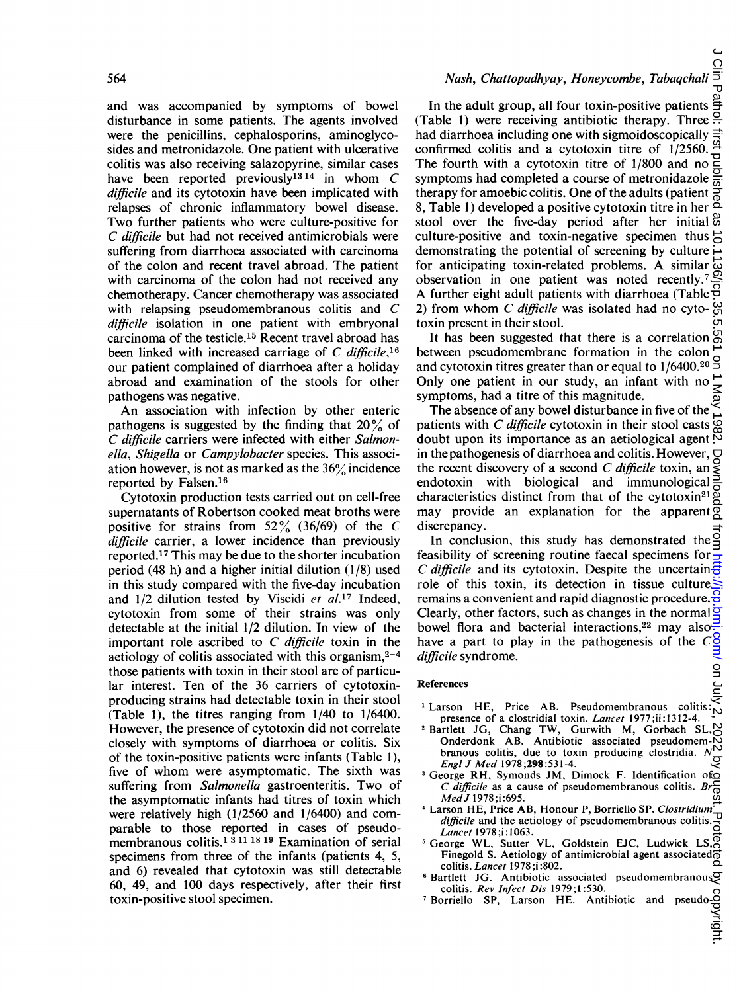and was accompanied by symptoms of bowel disturbance in some patients. The agents involved were the penicillins, cephalosporins, aminoglycosides and metronidazole. One patient with ulcerative colitis was also receiving salazopyrine, similar cases have been reported previously<sup>13 14</sup> in whom  $C$ difficile and its cytotoxin have been implicated with relapses of chronic inflammatory bowel disease. Two further patients who were culture-positive for C difficile but had not received antimicrobials were suffering from diarrhoea associated with carcinoma of the colon and recent travel abroad. The patient with carcinoma of the colon had not received any chemotherapy. Cancer chemotherapy was associated with relapsing pseudomembranous colitis and C difficile isolation in one patient with embryonal carcinoma of the testicle.15 Recent travel abroad has been linked with increased carriage of C difficile,  $16$ our patient complained of diarrhoea after a holiday abroad and examination of the stools for other pathogens was negative.

An association with infection by other enteric pathogens is suggested by the finding that  $20\%$  of C difficile carriers were infected with either Salmonella, Shigella or Campylobacter species. This association however, is not as marked as the  $36\%$  incidence reported by Falsen.16

Cytotoxin production tests carried out on cell-free supernatants of Robertson cooked meat broths were positive for strains from  $52\%$  (36/69) of the C difficile carrier, a lower incidence than previously reported.17 This may be due to the shorter incubation period (48 h) and a higher initial dilution (1/8) used in this study compared with the five-day incubation and  $1/2$  dilution tested by Viscidi et al.<sup>17</sup> Indeed, cytotoxin from some of their strains was only detectable at the initial 1/2 dilution. In view of the important role ascribed to  $C$  difficile toxin in the aetiology of colitis associated with this organism,  $2-4$ those patients with toxin in their stool are of particular interest. Ten of the 36 carriers of cytotoxinproducing strains had detectable toxin in their stool (Table 1), the titres ranging from 1/40 to 1/6400. However, the presence of cytotoxin did not correlate closely with symptoms of diarrhoea or colitis. Six of the toxin-positive patients were infants (Table 1), five of whom were asymptomatic. The sixth was suffering from Salmonella gastroenteritis. Two of the asymptomatic infants had titres of toxin which were relatively high (1/2560 and 1/6400) and comparable to those reported in cases of pseudomembranous colitis.<sup>1 3 11 18 19</sup> Examination of serial specimens from three of the infants (patients 4, 5, and 6) revealed that cytotoxin was still detectable 60, 49, and 100 days respectively, after their first toxin-positive stool specimen.

# Nash, Chattopadhyay, Honeycombe, Tabaqchali

In the adult group, all four toxin-positive patients (Table 1) were receiving antibiotic therapy. Three  $\frac{5}{11}$ had diarrhoea including one with sigmoidoscopically confirmed colitis and a cytotoxin titre of  $1/2560$ .<br>The fourth with a cytotoxin titre of  $1/800$  and no express symptoms had completed a course of metronidazole  $\frac{5}{60}$ The fourth with a cytotoxin titre of 1/800 and no symptoms had completed a course of metronidazole therapy for amoebic colitis. One of the adults (patient  $\frac{5}{6}$ <br>8. Table 1) developed a positive cytotoxin titre in her  $\frac{5}{6}$ 8, Table 1) developed a positive cytotoxin titre in her stool over the five-day period after her initial  $\frac{\omega}{\omega}$ culture-positive and toxin-negative specimen thus  $\overrightarrow{c}$ demonstrating the potential of screening by culture for anticipating toxin-related problems. A similar  $\vec{\omega}$  observation in one patient was noted recently  $\vec{z}$ observation in one patient was noted recently.7 A further eight adult patients with diarrhoea (Table  $\overline{\theta}$ 2) from whom  $C$  difficile was isolated had no cytotoxin present in their stool. on July 2, 2022 by guest. Protected by copyright. <http://jcp.bmj.com/> J Clin Pathol: first published as 10.1136/jcp.35.5.561 on 1 May 1982. Downloaded from

It has been suggested that there is a correlation  $\mathfrak{S}$ between pseudomembrane formation in the colon and cytotoxin titres greater than or equal to 1/6400.<sup>20</sup> S Only one patient in our study, an infant with no symptoms, had a titre of this magnitude.

The absence of any bowel disturbance in five of the patients with C difficile cytotoxin in their stool casts  $\mathcal{Q}$ doubt upon its importance as an aetiological agent  $\frac{1}{2}$ in the pathogenesis of diarrhoea and colitis. However,  $\Box$ the recent discovery of a second C difficile toxin, an endotoxin with biological and immunological characteristics distinct from that of the cytotoxin21 may provide an explanation for the apparent  $\overline{\phi}$ discrepancy.

In conclusion, this study has demonstrated the feasibility of screening routine faecal specimens for C difficile and its cytotoxin. Despite the uncertain $\frac{1}{\sqrt{2}}$ role of this toxin, its detection in tissue culture remains a convenient and rapid diagnostic procedure.  $\frac{8}{9}$ Clearly, other factors, such as changes in the normal  $\frac{1}{2}$ bowel flora and bacterial interactions,<sup>22</sup> may also have <sup>a</sup> part to play in the pathogenesis of the C difficile syndrome.

#### References

- <sup>1</sup> Larson HE, Price AB. Pseudomembranous coliti presence of a clostridial toxin. Lancet 1977;ii:1312-4.
- <sup>2</sup> Bartlett JG, Chang TW, Gurwith M, Gorbach SL, Onderdonk AB. Antibiotic associated pseudoment- $\frac{1}{N}$ Onderdonk AB. Antibiotic associated pseudomembranous colitis, due to toxin producing clostridia.  $N_{\bigcup}^{N}$ <br>Engl J Med 1978;298:531-4. EngilJ Med 1978;298:531-4.
- 3George RH, Symonds JM, Dimock F. Identification of C difficile as a cause of pseudomembranous colitis.  $B$ Med J 1978:i:695.
- <sup>4</sup> Larson HE, Price AB, Honour P, Borriello SP. Clostridium difficile and the aetiology of pseudomembranous colitis. Lancet 1978 ;i:1063.
- $5$  George WL, Sutter VL, Goldstein EJC, Ludwick LS,  $\overline{5}$ Finegold S. Aetiology of antimicrobial agent associated colitis. Lancet 1978 ;i :802.
- <sup>6</sup> Bartlett JG. Antibiotic associated pseudomembranou colitis. Rev Infect Dis 1979;1:530.
- <sup>7</sup> Borriello SP, Larson HE. Antibiotic and pseudo-